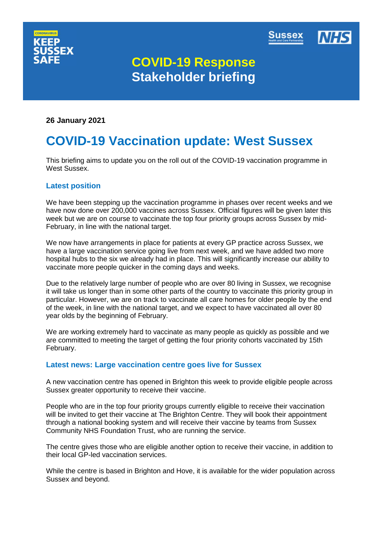



# **COVID-19 Response Stakeholder briefing**

**26 January 2021**

# **COVID-19 Vaccination update: West Sussex**

This briefing aims to update you on the roll out of the COVID-19 vaccination programme in West Sussex.

# **Latest position**

We have been stepping up the vaccination programme in phases over recent weeks and we have now done over 200,000 vaccines across Sussex. Official figures will be given later this week but we are on course to vaccinate the top four priority groups across Sussex by mid-February, in line with the national target.

We now have arrangements in place for patients at every GP practice across Sussex, we have a large vaccination service going live from next week, and we have added two more hospital hubs to the six we already had in place. This will significantly increase our ability to vaccinate more people quicker in the coming days and weeks.

Due to the relatively large number of people who are over 80 living in Sussex, we recognise it will take us longer than in some other parts of the country to vaccinate this priority group in particular. However, we are on track to vaccinate all care homes for older people by the end of the week, in line with the national target, and we expect to have vaccinated all over 80 year olds by the beginning of February.

We are working extremely hard to vaccinate as many people as quickly as possible and we are committed to meeting the target of getting the four priority cohorts vaccinated by 15th February.

# **Latest news: Large vaccination centre goes live for Sussex**

A new vaccination centre has opened in Brighton this week to provide eligible people across Sussex greater opportunity to receive their vaccine.

People who are in the top four priority groups currently eligible to receive their vaccination will be invited to get their vaccine at The Brighton Centre. They will book their appointment through a national booking system and will receive their vaccine by teams from Sussex Community NHS Foundation Trust, who are running the service.

The centre gives those who are eligible another option to receive their vaccine, in addition to their local GP-led vaccination services.

While the centre is based in Brighton and Hove, it is available for the wider population across Sussex and beyond.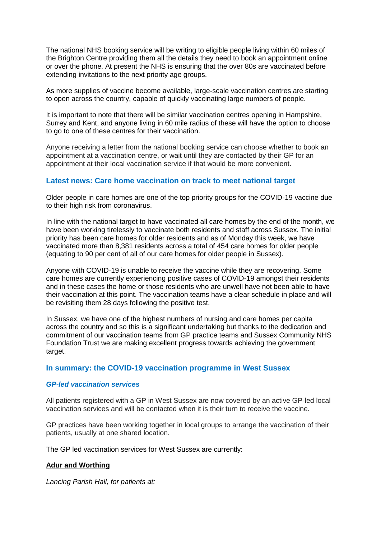The national NHS booking service will be writing to eligible people living within 60 miles of the Brighton Centre providing them all the details they need to book an appointment online or over the phone. At present the NHS is ensuring that the over 80s are vaccinated before extending invitations to the next priority age groups.

As more supplies of vaccine become available, large-scale vaccination centres are starting to open across the country, capable of quickly vaccinating large numbers of people.

It is important to note that there will be similar vaccination centres opening in Hampshire, Surrey and Kent, and anyone living in 60 mile radius of these will have the option to choose to go to one of these centres for their vaccination.

Anyone receiving a letter from the national booking service can choose whether to book an appointment at a vaccination centre, or wait until they are contacted by their GP for an appointment at their local vaccination service if that would be more convenient.

# **Latest news: Care home vaccination on track to meet national target**

Older people in care homes are one of the top priority groups for the COVID-19 vaccine due to their high risk from coronavirus.

In line with the national target to have vaccinated all care homes by the end of the month, we have been working tirelessly to vaccinate both residents and staff across Sussex. The initial priority has been care homes for older residents and as of Monday this week, we have vaccinated more than 8,381 residents across a total of 454 care homes for older people (equating to 90 per cent of all of our care homes for older people in Sussex).

Anyone with COVID-19 is unable to receive the vaccine while they are recovering. Some care homes are currently experiencing positive cases of COVID-19 amongst their residents and in these cases the home or those residents who are unwell have not been able to have their vaccination at this point. The vaccination teams have a clear schedule in place and will be revisiting them 28 days following the positive test.

In Sussex, we have one of the highest numbers of nursing and care homes per capita across the country and so this is a significant undertaking but thanks to the dedication and commitment of our vaccination teams from GP practice teams and Sussex Community NHS Foundation Trust we are making excellent progress towards achieving the government target.

# **In summary: the COVID-19 vaccination programme in West Sussex**

#### *GP-led vaccination services*

All patients registered with a GP in West Sussex are now covered by an active GP-led local vaccination services and will be contacted when it is their turn to receive the vaccine.

GP practices have been working together in local groups to arrange the vaccination of their patients, usually at one shared location.

The GP led vaccination services for West Sussex are currently:

# **Adur and Worthing**

*Lancing Parish Hall, for patients at:*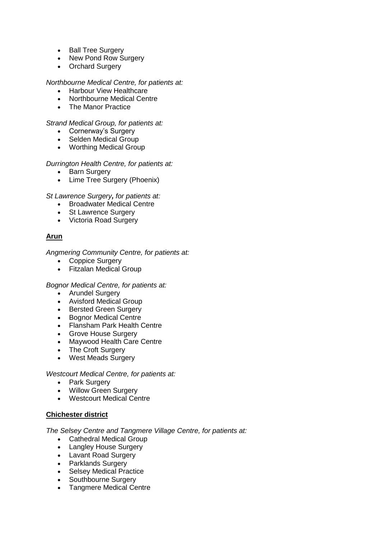- Ball Tree Surgery
- New Pond Row Surgery
- Orchard Surgery

#### *Northbourne Medical Centre, for patients at:*

- Harbour View Healthcare
- Northbourne Medical Centre
- The Manor Practice

#### *Strand Medical Group, for patients at:*

- Cornerway's Surgery
- Selden Medical Group
- Worthing Medical Group

#### *Durrington Health Centre, for patients at:*

- Barn Surgery
- Lime Tree Surgery (Phoenix)

*St Lawrence Surgery, for patients at:*

- Broadwater Medical Centre
- St Lawrence Surgery
- Victoria Road Surgery

# **Arun**

*Angmering Community Centre, for patients at:*

- Coppice Surgery
- Fitzalan Medical Group

#### *Bognor Medical Centre, for patients at:*

- Arundel Surgery
- Avisford Medical Group
- Bersted Green Surgery
- Bognor Medical Centre
- Flansham Park Health Centre
- Grove House Surgery
- Maywood Health Care Centre
- The Croft Surgery
- West Meads Surgery

#### *Westcourt Medical Centre, for patients at:*

- Park Surgery
- Willow Green Surgery
- Westcourt Medical Centre

# **Chichester district**

*The Selsey Centre and Tangmere Village Centre, for patients at:*

- Cathedral Medical Group
- Langley House Surgery
- Lavant Road Surgery
- Parklands Surgery
- Selsey Medical Practice
- Southbourne Surgery
- Tangmere Medical Centre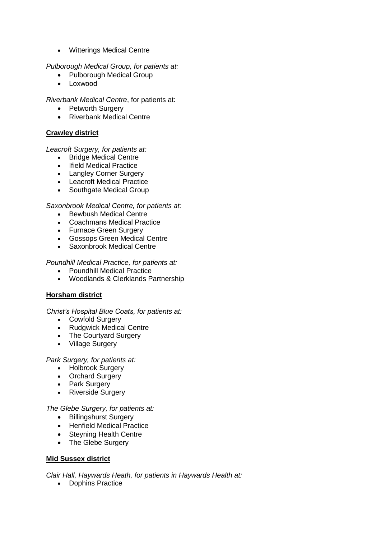Witterings Medical Centre

*Pulborough Medical Group, for patients at:*

- Pulborough Medical Group
- Loxwood

*Riverbank Medical Centre*, for patients at:

- Petworth Surgery
- Riverbank Medical Centre

# **Crawley district**

*Leacroft Surgery, for patients at:*

- Bridge Medical Centre
- Ifield Medical Practice
- Langley Corner Surgery
- Leacroft Medical Practice
- Southgate Medical Group

# *Saxonbrook Medical Centre, for patients at:*

- Bewbush Medical Centre
- Coachmans Medical Practice
- Furnace Green Surgery
- Gossops Green Medical Centre
- Saxonbrook Medical Centre

*Poundhill Medical Practice, for patients at:*

- Poundhill Medical Practice
- Woodlands & Clerklands Partnership

# **Horsham district**

# *Christ's Hospital Blue Coats, for patients at:*

- Cowfold Surgery
- Rudgwick Medical Centre
- The Courtyard Surgery
- Village Surgery

# *Park Surgery, for patients at:*

- Holbrook Surgery
- Orchard Surgery
- Park Surgery
- Riverside Surgery

# *The Glebe Surgery, for patients at:*

- Billingshurst Surgery
- Henfield Medical Practice
- Steyning Health Centre
- The Glebe Surgery

# **Mid Sussex district**

*Clair Hall, Haywards Heath, for patients in Haywards Health at:*

• Dophins Practice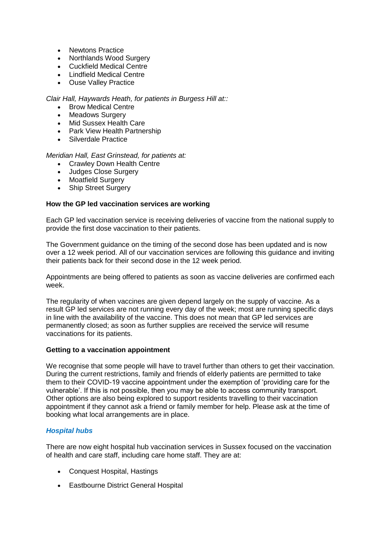- Newtons Practice
- Northlands Wood Surgery
- Cuckfield Medical Centre
- Lindfield Medical Centre
- Ouse Valley Practice

*Clair Hall, Haywards Heath, for patients in Burgess Hill at::*

- Brow Medical Centre
- Meadows Surgery
- Mid Sussex Health Care
- Park View Health Partnership
- Silverdale Practice

# *Meridian Hall, East Grinstead, for patients at:*

- Crawley Down Health Centre
- Judges Close Surgery
- Moatfield Surgery
- Ship Street Surgery

# **How the GP led vaccination services are working**

Each GP led vaccination service is receiving deliveries of vaccine from the national supply to provide the first dose vaccination to their patients.

The Government guidance on the timing of the second dose has been updated and is now over a 12 week period. All of our vaccination services are following this guidance and inviting their patients back for their second dose in the 12 week period.

Appointments are being offered to patients as soon as vaccine deliveries are confirmed each week.

The regularity of when vaccines are given depend largely on the supply of vaccine. As a result GP led services are not running every day of the week; most are running specific days in line with the availability of the vaccine. This does not mean that GP led services are permanently closed; as soon as further supplies are received the service will resume vaccinations for its patients.

# **Getting to a vaccination appointment**

We recognise that some people will have to travel further than others to get their vaccination. During the current restrictions, family and friends of elderly patients are permitted to take them to their COVID-19 vaccine appointment under the exemption of 'providing care for the vulnerable'. If this is not possible, then you may be able to access community transport. Other options are also being explored to support residents travelling to their vaccination appointment if they cannot ask a friend or family member for help. Please ask at the time of booking what local arrangements are in place.

# *Hospital hubs*

There are now eight hospital hub vaccination services in Sussex focused on the vaccination of health and care staff, including care home staff. They are at:

- [Conquest Hospital,](https://www.esht.nhs.uk/conquest-hospital/) Hastings
- [Eastbourne District General Hospital](https://www.esht.nhs.uk/eastbourne-dgh/)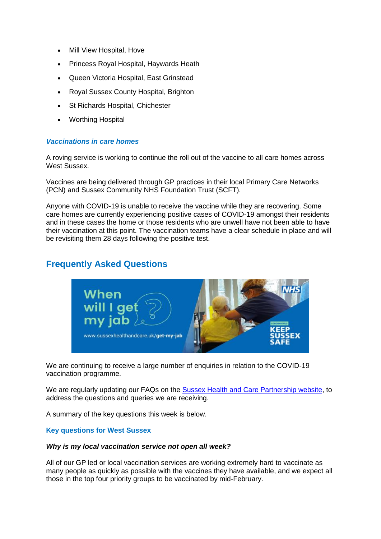- [Mill View Hospital,](https://www.sussexpartnership.nhs.uk/location-mill-view-hospital) Hove
- [Princess Royal Hospital,](https://www.bsuh.nhs.uk/hospitals/princess-royal-hospital/) Haywards Heath
- [Queen Victoria Hospital,](https://www.qvh.nhs.uk/) East Grinstead
- [Royal Sussex County Hospital,](http://www.bsuh.nhs.uk/hospitals/royal-sussex-county-hospital/) Brighton
- [St Richards Hospital,](https://www.westernsussexhospitals.nhs.uk/our-hospitals/st-richards-hospital/) Chichester
- [Worthing](https://www.westernsussexhospitals.nhs.uk/) Hospital

#### *Vaccinations in care homes*

A roving service is working to continue the roll out of the vaccine to all care homes across West Sussex.

Vaccines are being delivered through GP practices in their local Primary Care Networks (PCN) and Sussex Community NHS Foundation Trust (SCFT).

Anyone with COVID-19 is unable to receive the vaccine while they are recovering. Some care homes are currently experiencing positive cases of COVID-19 amongst their residents and in these cases the home or those residents who are unwell have not been able to have their vaccination at this point. The vaccination teams have a clear schedule in place and will be revisiting them 28 days following the positive test.

# **Frequently Asked Questions**



We are continuing to receive a large number of enquiries in relation to the COVID-19 vaccination programme.

We are regularly updating our FAQs on the [Sussex Health and Care Partnership website,](https://www.sussexhealthandcare.uk/keepsussexsafe/sussex-covid-19-vaccination-programme/) to address the questions and queries we are receiving.

A summary of the key questions this week is below.

#### **Key questions for West Sussex**

#### *Why is my local vaccination service not open all week?*

All of our GP led or local vaccination services are working extremely hard to vaccinate as many people as quickly as possible with the vaccines they have available, and we expect all those in the top four priority groups to be vaccinated by mid-February.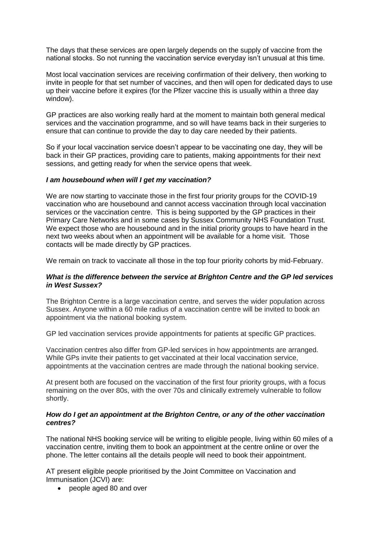The days that these services are open largely depends on the supply of vaccine from the national stocks. So not running the vaccination service everyday isn't unusual at this time.

Most local vaccination services are receiving confirmation of their delivery, then working to invite in people for that set number of vaccines, and then will open for dedicated days to use up their vaccine before it expires (for the Pfizer vaccine this is usually within a three day window).

GP practices are also working really hard at the moment to maintain both general medical services and the vaccination programme, and so will have teams back in their surgeries to ensure that can continue to provide the day to day care needed by their patients.

So if your local vaccination service doesn't appear to be vaccinating one day, they will be back in their GP practices, providing care to patients, making appointments for their next sessions, and getting ready for when the service opens that week.

#### *I am housebound when will I get my vaccination?*

We are now starting to vaccinate those in the first four priority groups for the COVID-19 vaccination who are housebound and cannot access vaccination through local vaccination services or the vaccination centre. This is being supported by the GP practices in their Primary Care Networks and in some cases by Sussex Community NHS Foundation Trust. We expect those who are housebound and in the initial priority groups to have heard in the next two weeks about when an appointment will be available for a home visit. Those contacts will be made directly by GP practices.

We remain on track to vaccinate all those in the top four priority cohorts by mid-February.

# *What is the difference between the service at Brighton Centre and the GP led services in West Sussex?*

The Brighton Centre is a large vaccination centre, and serves the wider population across Sussex. Anyone within a 60 mile radius of a vaccination centre will be invited to book an appointment via the national booking system.

GP led vaccination services provide appointments for patients at specific GP practices.

Vaccination centres also differ from GP-led services in how appointments are arranged. While GPs invite their patients to get vaccinated at their local vaccination service, appointments at the vaccination centres are made through the national booking service.

At present both are focused on the vaccination of the first four priority groups, with a focus remaining on the over 80s, with the over 70s and clinically extremely vulnerable to follow shortly.

#### *How do I get an appointment at the Brighton Centre, or any of the other vaccination centres?*

The national NHS booking service will be writing to eligible people, living within 60 miles of a vaccination centre, inviting them to book an appointment at the centre online or over the phone. The letter contains all the details people will need to book their appointment.

AT present eligible people prioritised by the Joint Committee on Vaccination and Immunisation (JCVI) are:

people aged 80 and over